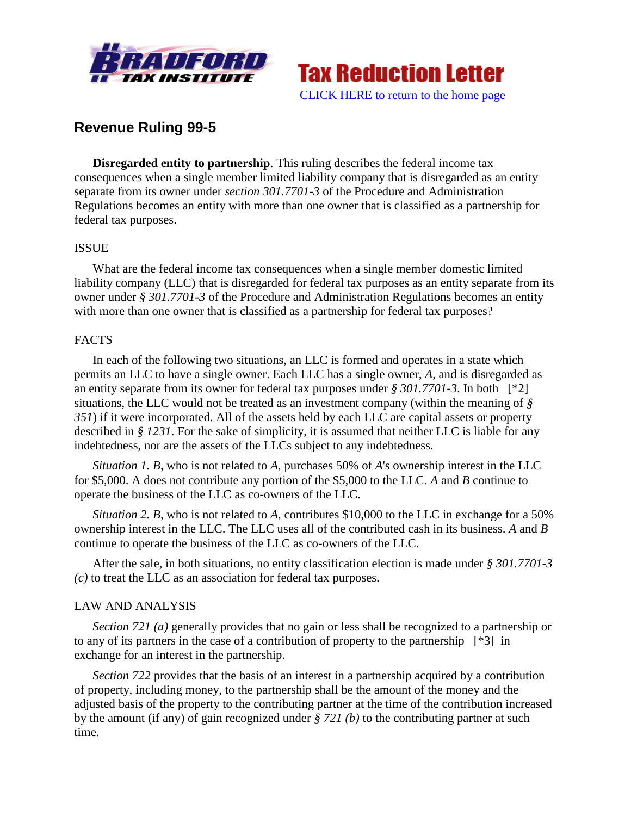



# **Revenue Ruling 99-5**

**Disregarded entity to partnership**. This ruling describes the federal income tax consequences when a single member limited liability company that is disregarded as an entity separate from its owner under *section 301.7701-3* of the Procedure and Administration Regulations becomes an entity with more than one owner that is classified as a partnership for federal tax purposes.

### ISSUE

What are the federal income tax consequences when a single member domestic limited liability company (LLC) that is disregarded for federal tax purposes as an entity separate from its owner under *§ 301.7701-3* of the Procedure and Administration Regulations becomes an entity with more than one owner that is classified as a partnership for federal tax purposes?

## FACTS

In each of the following two situations, an LLC is formed and operates in a state which permits an LLC to have a single owner. Each LLC has a single owner, *A*, and is disregarded as an entity separate from its owner for federal tax purposes under *§ 301.7701-3*. In both [\*2] situations, the LLC would not be treated as an investment company (within the meaning of *§ 351*) if it were incorporated. All of the assets held by each LLC are capital assets or property described in *§ 1231*. For the sake of simplicity, it is assumed that neither LLC is liable for any indebtedness, nor are the assets of the LLCs subject to any indebtedness.

*Situation 1. B*, who is not related to *A*, purchases 50% of *A*'s ownership interest in the LLC for \$5,000. A does not contribute any portion of the \$5,000 to the LLC. *A* and *B* continue to operate the business of the LLC as co-owners of the LLC.

*Situation 2. B*, who is not related to *A*, contributes \$10,000 to the LLC in exchange for a 50% ownership interest in the LLC. The LLC uses all of the contributed cash in its business. *A* and *B* continue to operate the business of the LLC as co-owners of the LLC.

After the sale, in both situations, no entity classification election is made under *§ 301.7701-3 (c)* to treat the LLC as an association for federal tax purposes.

### LAW AND ANALYSIS

*Section 721 (a)* generally provides that no gain or less shall be recognized to a partnership or to any of its partners in the case of a contribution of property to the partnership [\*3] in exchange for an interest in the partnership.

*Section 722* provides that the basis of an interest in a partnership acquired by a contribution of property, including money, to the partnership shall be the amount of the money and the adjusted basis of the property to the contributing partner at the time of the contribution increased by the amount (if any) of gain recognized under *§ 721 (b)* to the contributing partner at such time.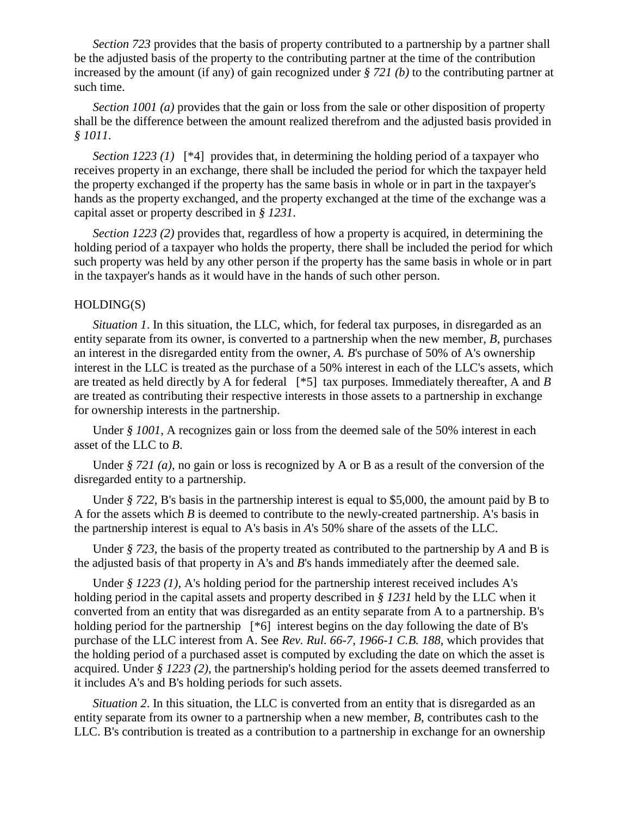*Section 723* provides that the basis of property contributed to a partnership by a partner shall be the adjusted basis of the property to the contributing partner at the time of the contribution increased by the amount (if any) of gain recognized under *§ 721 (b)* to the contributing partner at such time.

*Section 1001 (a)* provides that the gain or loss from the sale or other disposition of property shall be the difference between the amount realized therefrom and the adjusted basis provided in *§ 1011*.

*Section 1223 (1)* [\*4] provides that, in determining the holding period of a taxpayer who receives property in an exchange, there shall be included the period for which the taxpayer held the property exchanged if the property has the same basis in whole or in part in the taxpayer's hands as the property exchanged, and the property exchanged at the time of the exchange was a capital asset or property described in *§ 1231*.

*Section 1223 (2)* provides that, regardless of how a property is acquired, in determining the holding period of a taxpayer who holds the property, there shall be included the period for which such property was held by any other person if the property has the same basis in whole or in part in the taxpayer's hands as it would have in the hands of such other person.

#### HOLDING(S)

*Situation 1*. In this situation, the LLC, which, for federal tax purposes, in disregarded as an entity separate from its owner, is converted to a partnership when the new member, *B*, purchases an interest in the disregarded entity from the owner, *A. B*'s purchase of 50% of A's ownership interest in the LLC is treated as the purchase of a 50% interest in each of the LLC's assets, which are treated as held directly by A for federal [\*5] tax purposes. Immediately thereafter, A and *B* are treated as contributing their respective interests in those assets to a partnership in exchange for ownership interests in the partnership.

Under *§ 1001*, A recognizes gain or loss from the deemed sale of the 50% interest in each asset of the LLC to *B*.

Under *§ 721 (a)*, no gain or loss is recognized by A or B as a result of the conversion of the disregarded entity to a partnership.

Under *§ 722*, B's basis in the partnership interest is equal to \$5,000, the amount paid by B to A for the assets which *B* is deemed to contribute to the newly-created partnership. A's basis in the partnership interest is equal to A's basis in *A*'s 50% share of the assets of the LLC.

Under *§ 723*, the basis of the property treated as contributed to the partnership by *A* and B is the adjusted basis of that property in A's and *B*'s hands immediately after the deemed sale.

Under *§ 1223 (1)*, A's holding period for the partnership interest received includes A's holding period in the capital assets and property described in *§ 1231* held by the LLC when it converted from an entity that was disregarded as an entity separate from A to a partnership. B's holding period for the partnership [\*6] interest begins on the day following the date of B's purchase of the LLC interest from A. See *Rev. Rul. 66-7, 1966-1 C.B. 188*, which provides that the holding period of a purchased asset is computed by excluding the date on which the asset is acquired. Under *§ 1223 (2)*, the partnership's holding period for the assets deemed transferred to it includes A's and B's holding periods for such assets.

*Situation 2*. In this situation, the LLC is converted from an entity that is disregarded as an entity separate from its owner to a partnership when a new member, *B*, contributes cash to the LLC. B's contribution is treated as a contribution to a partnership in exchange for an ownership